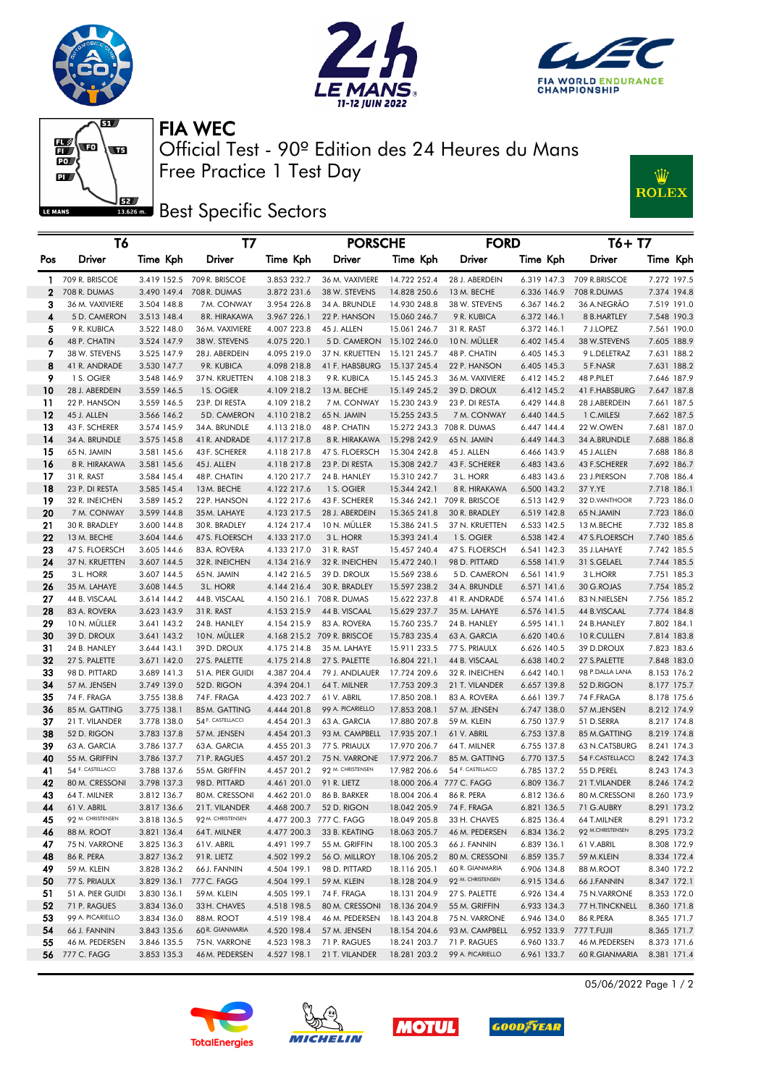





FIA WEC

 $\overline{\mathbf{w}}$  $\mathbb{E}\left( \mathbf{E} \right)$  $\overline{\mathbf{w}}$  $\overline{\mathbf{D}}$  $\mathbf{L}$ LE MANS

Free Practice 1 Test Day Official Test - 90º Edition des 24 Heures du Mans





|              | T6                           |                            | T7                         |                            | <b>PORSCHE</b>             |                              | <b>FORD</b>                 |                            | $T6+T7$                 |                            |
|--------------|------------------------------|----------------------------|----------------------------|----------------------------|----------------------------|------------------------------|-----------------------------|----------------------------|-------------------------|----------------------------|
| Pos          | Driver                       | Time Kph                   | Driver                     | Time Kph                   | Driver                     | Time Kph                     | Driver                      | Time Kph                   | Driver                  | Time Kph                   |
| $\mathbf{1}$ | 709 R. BRISCOE               |                            | 3.419 152.5 709 R. BRISCOE | 3.853 232.7                | 36 M. VAXIVIERE            | 14.722 252.4                 | 28 J. ABERDEIN              | 6.319 147.3                | 709 R.BRISCOE           | 7.272 197.5                |
| 2            | 708 R. DUMAS                 | 3.490 149.4                | 708 R. DUMAS               | 3.872 231.6                | 38 W. STEVENS              | 14.828 250.6                 | 13 M. BECHE                 | 6.336 146.9                | 708 R.DUMAS             | 7.374 194.8                |
| з            | 36 M. VAXIVIERE              | 3.504 148.8                | 7M. CONWAY                 | 3.954 226.8                | 34 A. BRUNDLE              | 14.930 248.8                 | 38 W. STEVENS               | 6.367 146.2                | 36 A.NEGRAO             | 7.519 191.0                |
| 4            | 5 D. CAMERON                 | 3.513 148.4                | 8 R. HIRAKAWA              | 3.967 226.1                | 22 P. HANSON               | 15.060 246.7                 | 9 R. KUBICA                 | 6.372 146.1                | 8 B.HARTLEY             | 7.548 190.3                |
| 5            | 9 R. KUBICA                  | 3.522 148.0                | 36 M. VAXIVIERE            | 4.007 223.8                | 45 J. ALLEN                | 15.061 246.7                 | 31 R. RAST                  | 6.372 146.1                | 7 J.LOPEZ               | 7.561 190.0                |
| 6            | 48 P. CHATIN                 | 3.524 147.9                | 38 W. STEVENS              | 4.075 220.1                | 5 D. CAMERON               | 15.102 246.0                 | 10 N. MULLER                | 6.402 145.4                | 38 W.STEVENS            | 7.605 188.9                |
| 7            | 38 W. STEVENS                | 3.525 147.9                | 28 J. ABERDEIN             | 4.095 219.0                | 37 N. KRUETTEN             | 15.121 245.7                 | 48 P. CHATIN                | 6.405 145.3                | 9 L.DELETRAZ            | 7.631 188.2                |
| 8            | 41 R. ANDRADE                | 3.530 147.7                | 9 R. KUBICA                | 4.098 218.8                | 41 F. HABSBURG             | 15.137 245.4                 | 22 P. HANSON                | 6.405 145.3                | 5 F.NASR                | 7.631 188.2                |
| 9            | 1 S. OGIER                   | 3.548 146.9                | 37 N. KRUETTEN             | 4.108 218.3                | 9 R. KUBICA                | 15.145 245.3                 | 36 M. VAXIVIERE             | 6.412 145.2                | 48 P.PILET              | 7.646 187.9                |
| 10           | 28 J. ABERDEIN               | 3.559 146.5                | 1 S. OGIER                 | 4.109 218.2                | 13 M. BECHE                | 15.149 245.2                 | 39 D. DROUX                 | 6.412 145.2                | 41 F.HABSBURG           | 7.647 187.8                |
| 11           | 22 P. HANSON                 | 3.559 146.5                | 23 P. DI RESTA             | 4.109 218.2                | 7 M. CONWAY                | 15.230 243.9                 | 23 P. DI RESTA              | 6.429 144.8                | 28 J.ABERDEIN           | 7.661 187.5                |
| 12           | 45 J. ALLEN                  | 3.566 146.2                | 5D. CAMERON                | 4.110 218.2                | 65 N. JAMIN                | 15.255 243.5                 | 7 M. CONWAY                 | 6.440 144.5                | 1 C.MILESI              | 7.662 187.5                |
| 13           | 43 F. SCHERER                | 3.574 145.9                | 34 A. BRUNDLE              | 4.113 218.0                | 48 P. CHATIN               |                              | 15.272 243.3 708 R. DUMAS   | 6.447 144.4                | 22 W.OWEN               | 7.681 187.0                |
| 14           | 34 A. BRUNDLE                | 3.575 145.8                | 41 R. ANDRADE              | 4.117 217.8                | 8 R. HIRAKAWA              | 15.298 242.9                 | 65 N. JAMIN                 | 6.449 144.3                | 34 A.BRUNDLE            | 7.688 186.8                |
| 15           | 65 N. JAMIN<br>8 R. HIRAKAWA | 3.581 145.6                | 43 F. SCHERER              | 4.118 217.8                | 47 S. FLOERSCH             | 15.304 242.8                 | 45 J. ALLEN                 | 6.466 143.9                | 45 J.ALLEN              | 7.688 186.8                |
| 16           |                              | 3.581 145.6                | 45 J. ALLEN                | 4.118 217.8                | 23 P. DI RESTA             | 15.308 242.7                 | 43 F. SCHERER               | 6.483 143.6                | 43 F.SCHERER            | 7.692 186.7                |
| 17<br>18     | 31 R. RAST<br>23 P. DI RESTA | 3.584 145.4<br>3.585 145.4 | 48 P. CHATIN<br>13M. BECHE | 4.120 217.7<br>4.122 217.6 | 24 B. HANLEY<br>1 S. OGIER | 15.310 242.7<br>15.344 242.1 | 3 L. HORR<br>8 R. HIRAKAWA  | 6.483 143.6<br>6.500 143.2 | 23 J.PIERSON<br>37 Y.YE | 7.708 186.4<br>7.718 186.1 |
| 19           | 32 R. INEICHEN               | 3.589 145.2                | 22 P. HANSON               | 4.122 217.6                | 43 F. SCHERER              |                              | 15.346 242.1 709 R. BRISCOE | 6.513 142.9                | 32 D.VANTHOOR           | 7.723 186.0                |
| 20           | 7 M. CONWAY                  | 3.599 144.8                | 35 M. LAHAYE               | 4.123 217.5                | 28 J. ABERDEIN             | 15.365 241.8                 | 30 R. BRADLEY               | 6.519 142.8                | 65 N.JAMIN              | 7.723 186.0                |
| 21           | 30 R. BRADLEY                | 3.600 144.8                | 30 R. BRADLEY              | 4.124 217.4                | 10 N. MULLER               | 15.386 241.5                 | 37 N. KRUETTEN              | 6.533 142.5                | 13 M.BECHE              | 7.732 185.8                |
| 22           | 13 M. BECHE                  | 3.604 144.6                | 47 S. FLOERSCH             | 4.133 217.0                | 3 L. HORR                  | 15.393 241.4                 | 1 S. OGIER                  | 6.538 142.4                | 47 S.FLOERSCH           | 7.740 185.6                |
| 23           | 47 S. FLOERSCH               | 3.605 144.6                | 83 A. ROVERA               | 4.133 217.0                | 31 R. RAST                 | 15.457 240.4                 | 47 S. FLOERSCH              | 6.541 142.3                | 35 J.LAHAYE             | 7.742 185.5                |
| 24           | 37 N. KRUETTEN               | 3.607 144.5                | 32 R. INEICHEN             | 4.134 216.9                | 32 R. INEICHEN             | 15.472 240.1                 | 98 D. PITTARD               | 6.558 141.9                | 31 S.GELAEL             | 7.744 185.5                |
| 25           | 3 L. HORR                    | 3.607 144.5                | 65N. JAMIN                 | 4.142 216.5                | 39 D. DROUX                | 15.569 238.6                 | 5 D. CAMERON                | 6.561 141.9                | 3 L.HORR                | 7.751 185.3                |
| 26           | 35 M. LAHAYE                 | 3.608 144.5                | 3L. HORR                   | 4.144 216.4                | 30 R. BRADLEY              | 15.597 238.2                 | 34 A. BRUNDLE               | 6.571 141.6                | 30 G.ROJAS              | 7.754 185.2                |
| 27           | 44 B. VISCAAL                | 3.614 144.2                | 44 B. VISCAAL              |                            | 4.150 216.1 708 R. DUMAS   | 15.622 237.8                 | 41 R. ANDRADE               | 6.574 141.6                | 83 N.NIELSEN            | 7.756 185.2                |
| 28           | 83 A. ROVERA                 | 3.623 143.9                | 31 R. RAST                 | 4.153 215.9                | 44 B. VISCAAL              | 15.629 237.7                 | 35 M. LAHAYE                | 6.576 141.5                | 44 B.VISCAAL            | 7.774 184.8                |
| 29           | 10 N. MÜLLER                 | 3.641 143.2                | 24 B. HANLEY               | 4.154 215.9                | 83 A. ROVERA               | 15.760 235.7                 | 24 B. HANLEY                | 6.595 141.1                | 24 B.HANLEY             | 7.802 184.1                |
| 30           | 39 D. DROUX                  | 3.641 143.2                | 10N. MULLER                |                            | 4.168 215.2 709 R. BRISCOE | 15.783 235.4                 | 63 A. GARCIA                | 6.620 140.6                | 10 R.CULLEN             | 7.814 183.8                |
| 31           | 24 B. HANLEY                 | 3.644 143.1                | 39 D. DROUX                | 4.175 214.8                | 35 M. LAHAYE               | 15.911 233.5                 | 77 S. PRIAULX               | 6.626 140.5                | 39 D.DROUX              | 7.823 183.6                |
| 32           | 27 S. PALETTE                | 3.671 142.0                | 27 S. PALETTE              | 4.175 214.8                | 27 S. PALETTE              | 16.804 221.1                 | 44 B. VISCAAL               | 6.638 140.2                | 27 S.PALETTE            | 7.848 183.0                |
| 33           | 98 D. PITTARD                | 3.689 141.3                | 51 A. PIER GUIDI           | 4.387 204.4                | 79 J. ANDLAUER             | 17.724 209.6                 | 32 R. INEICHEN              | 6.642 140.1                | 98 P.DALLA LANA         | 8.153 176.2                |
| 34           | 57 M. JENSEN                 | 3.749 139.0                | 52 D. RIGON                | 4.394 204.1                | 64 T. MILNER               | 17.753 209.3                 | 21 T. VILANDER              | 6.657 139.8                | 52 D.RIGON              | 8.177 175.7                |
| 35           | 74 F. FRAGA                  | 3.755 138.8                | 74 F. FRAGA                | 4.423 202.7                | 61 V. ABRIL                | 17.850 208.1                 | 83 A. ROVERA                | 6.661 139.7                | 74 F.FRAGA              | 8.178 175.6                |
| 36           | 85 M. GATTING                | 3.775 138.1                | 85 M. GATTING              | 4.444 201.8                | 99 A. PICARIELLO           | 17.853 208.1                 | 57 M. JENSEN                | 6.747 138.0                | 57 M.JENSEN             | 8.212 174.9                |
| 37           | 21 T. VILANDER               | 3.778 138.0                | 54 F. CASTELLACCI          | 4.454 201.3                | 63 A. GARCIA               | 17.880 207.8                 | 59 M. KLEIN                 | 6.750 137.9                | 51 D.SERRA              | 8.217 174.8                |
| 38           | 52 D. RIGON                  | 3.783 137.8                | 57 M. JENSEN               | 4.454 201.3                | 93 M. CAMPBELL             | 17.935 207.1                 | 61 V. ABRIL                 | 6.753 137.8                | 85 M.GATTING            | 8.219 174.8                |
| 39           | 63 A. GARCIA                 | 3.786 137.7                | 63 A. GARCIA               | 4.455 201.3                | 77 S. PRIAULX              | 17.970 206.7                 | 64 T. MILNER                | 6.755 137.8                | 63 N.CATSBURG           | 8.241 174.3                |
| 40           | 55 M. GRIFFIN                | 3.786 137.7                | 71 P. RAGUES               | 4.457 201.2                | 75 N. VARRONE              | 17.972 206.7                 | 85 M. GATTING               | 6.770 137.5                | 54 F.CASTELLACCI        | 8.242 174.3                |
| 41           | 54 F. CASTELLACCI            | 3.788 137.6                | 55 M. GRIFFIN              | 4.457 201.2                | 92 M. CHRISTENSEN          | 17.982 206.6                 | 54 F. CASTELLACCI           | 6.785 137.2                | 55 D.PEREL              | 8.243 174.3                |
| 42           | 80 M. CRESSONI               | 3.798 137.3                | 98 D. PITTARD              | 4.461 201.0                | 91 R. LIETZ                |                              | 18.000 206.4 777 C. FAGG    | 6.809 136.7                | 21 T.VILANDER           | 8.246 174.2                |
| 43           | 64 T. MILNER                 | 3.812 136.7                | 80 M. CRESSONI             | 4.462 201.0                | 86 B. BARKER               | 18.004 206.4                 | 86 R. PERA                  | 6.812 136.6                | 80 M.CRESSONI           | 8.260 173.9                |
| 44           | 61 V. ABRIL                  | 3.817 136.6                | 21 T. VILANDER             |                            | 4.468 200.7 52 D. RIGON    |                              | 18.042 205.9 74 F. FRAGA    |                            | 6.821 136.5 71 G.AUBRY  | 8.291 173.2                |
| 45           | 92 M. CHRISTENSEN            | 3.818 136.5                | 92 M. CHRISTENSEN          |                            | 4.477 200.3 777 C. FAGG    | 18.049 205.8                 | 33 H. CHAVES                | 6.825 136.4                | 64 T.MILNER             | 8.291 173.2                |
| 46           | 88 M. ROOT                   | 3.821 136.4                | 64T. MILNER                | 4.477 200.3                | 33 B. KEATING              | 18.063 205.7                 | 46 M. PEDERSEN              | 6.834 136.2                | 92 M.CHRISTENSEN        | 8.295 173.2                |
| 47           | 75 N. VARRONE                | 3.825 136.3                | 61 V. ABRIL                | 4.491 199.7                | 55 M. GRIFFIN              | 18.100 205.3                 | 66 J. FANNIN                | 6.839 136.1                | 61 V.ABRIL              | 8.308 172.9                |
| 48           | 86 R. PERA                   | 3.827 136.2                | 91 R. LIETZ                | 4.502 199.2                | 56 O. MILLROY              | 18.106 205.2                 | 80 M. CRESSONI              | 6.859 135.7                | 59 M.KLEIN              | 8.334 172.4                |
| 49           | 59 M. KLEIN                  | 3.828 136.2                | 66 J. FANNIN               | 4.504 199.1                | 98 D. PITTARD              | 18.116 205.1                 | 60 R. GIANMARIA             | 6.906 134.8                | 88 M.ROOT               | 8.340 172.2                |
| 50           | 77 S. PRIAULX                | 3.829 136.1                | 777 C. FAGG                | 4.504 199.1                | 59 M. KLEIN                | 18.128 204.9                 | 92 M. CHRISTENSEN           | 6.915 134.6                | 66 J.FANNIN             | 8.347 172.1                |
| 51           | 51 A. PIER GUIDI             | 3.830 136.1                | 59 M. KLEIN                | 4.505 199.1                | 74 F. FRAGA                | 18.131 204.9                 | 27 S. PALETTE               | 6.926 134.4                | 75 N.VARRONE            | 8.353 172.0                |
| 52           | 71 P. RAGUES                 | 3.834 136.0                | 33 H. CHAVES               | 4.518 198.5                | 80 M. CRESSONI             | 18.136 204.9                 | 55 M. GRIFFIN               | 6.933 134.3                | 77 H.TINCKNELL          | 8.360 171.8                |
| 53           | 99 A. PICARIELLO             | 3.834 136.0                | 88 M. ROOT                 | 4.519 198.4                | 46 M. PEDERSEN             | 18.143 204.8                 | 75 N. VARRONE               | 6.946 134.0                | 86 R.PERA               | 8.365 171.7                |
| 54           | 66 J. FANNIN                 | 3.843 135.6                | 60 R. GIANMARIA            | 4.520 198.4                | 57 M. JENSEN               | 18.154 204.6                 | 93 M. CAMPBELL              | 6.952 133.9                | 777 T.FUJII             | 8.365 171.7                |
| 55           | 46 M. PEDERSEN               | 3.846 135.5                | 75 N. VARRONE              | 4.523 198.3                | 71 P. RAGUES               | 18.241 203.7                 | 71 P. RAGUES                | 6.960 133.7                | 46 M.PEDERSEN           | 8.373 171.6                |
| 56           | 777 C. FAGG                  | 3.853 135.3                | 46 M. PEDERSEN             | 4.527 198.1                | 21 T. VILANDER             | 18.281 203.2                 | 99 A. PICARIELLO            | 6.961 133.7                | 60 R.GIANMARIA          | 8.381 171.4                |









05/06/2022 Page 1 / 2